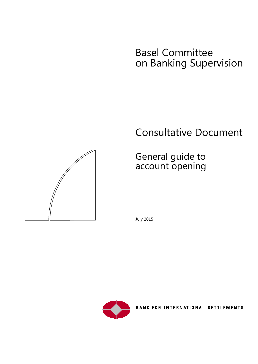# Basel Committee on Banking Supervision

# Consultative Document

# General guide to account opening





BANK FOR INTERNATIONAL SETTLEMENTS

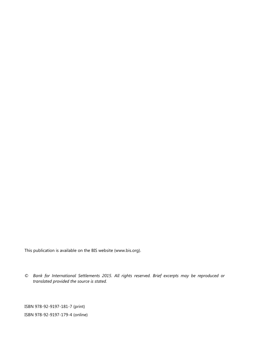This publication is available on the BIS website [\(www.bis.org\)](http://www.bis.org/).

*© Bank for International Settlements 2015. All rights reserved. Brief excerpts may be reproduced or translated provided the source is stated.*

ISBN 978-92-9197-181-7 (print) ISBN 978-92-9197-179-4 (online)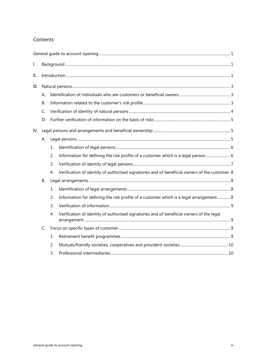## Contents

| I.  |           |                |                                                                                                |  |
|-----|-----------|----------------|------------------------------------------------------------------------------------------------|--|
| ΙΙ. |           |                |                                                                                                |  |
| Ш.  |           |                |                                                                                                |  |
|     | А.        |                |                                                                                                |  |
|     | <b>B.</b> |                |                                                                                                |  |
|     | C.        |                |                                                                                                |  |
|     | D.        |                |                                                                                                |  |
| IV. |           |                |                                                                                                |  |
|     | А.        |                |                                                                                                |  |
|     |           | 1.             |                                                                                                |  |
|     |           | 2.             | Information for defining the risk profile of a customer which is a legal person 6              |  |
|     |           | 3.             |                                                                                                |  |
|     |           | 4.             | Verification of identity of authorised signatories and of beneficial owners of the customer. 8 |  |
|     | В.        |                |                                                                                                |  |
|     |           | $\mathbf{1}$ . |                                                                                                |  |
|     |           | 2.             | Information for defining the risk profile of a customer which is a legal arrangement 8         |  |
|     |           | 3.             |                                                                                                |  |
|     |           | 4.             | Verification of identity of authorised signatories and of beneficial owners of the legal       |  |
|     | C.        |                |                                                                                                |  |
|     |           | 1.             |                                                                                                |  |
|     |           | 2.             |                                                                                                |  |
|     |           | 3.             |                                                                                                |  |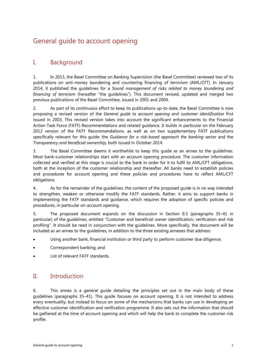# <span id="page-3-0"></span>General guide to account opening

# <span id="page-3-1"></span>I. Background

1. In 2013, the Basel Committee on Banking Supervision (the Basel Committee) reviewed two of its publications on anti-money laundering and countering financing of terrorism (AML/CFT). In January 2014, it published the guidelines for a *Sound management of risks related to money laundering and financing of terrorism* (hereafter "the guidelines"). This document revised, updated and merged two previous publications of the Basel Committee, issued in 2001 and 2004.

2. As part of its continuous effort to keep its publications up-to-date, the Basel Committee is now proposing a revised version of the *General guide to account opening and customer identification* first issued in 2003. This revised version takes into account the significant enhancements to the Financial Action Task Force (FATF) Recommendations and related guidance. It builds in particular on the February 2012 version of the FATF Recommendations, as well as on two supplementary FATF publications specifically relevant for this guide: the *Guidance for a risk-based approach the banking sector* and the *Transparency and beneficial ownership*, both issued in October 2014.

3. The Basel Committee deems it worthwhile to keep this guide as an annex to the guidelines. Most bank-customer relationships start with an account opening procedure. The customer information collected and verified at this stage is crucial to the bank in order for it to fulfil its AML/CFT obligations, both at the inception of the customer relationship and thereafter. All banks need to establish policies and procedures for account opening and these policies and procedures have to reflect AML/CFT obligations.

4. As for the remainder of the guidelines, the content of the proposed guide is in no way intended to strengthen, weaken or otherwise modify the FATF standards. Rather, it aims to support banks in implementing the FATF standards and guidance, which requires the adoption of specific policies and procedures, in particular on account opening.

5. The proposed document expands on the discussion in Section II.3 (paragraphs 35–41 in particular) of the guidelines, entitled "Customer and beneficial owner identification, verification and risk profiling". It should be read in conjunction with the guidelines. More specifically, the document will be included as an annex to the guidelines, in addition to the three existing annexes that address:

- Using another bank, financial institution or third party to perform customer due diligence;
- Correspondent banking; and
- <span id="page-3-2"></span>List of relevant FATF standards.

# II. Introduction

6. This annex is a general guide detailing the principles set out in the main body of these guidelines (paragraphs 35–41). This guide focuses on account opening. It is not intended to address every eventuality, but instead to focus on some of the mechanisms that banks can use in developing an effective customer identification and verification programme. It also sets out the information that should be gathered at the time of account opening and which will help the bank to complete the customer risk profile.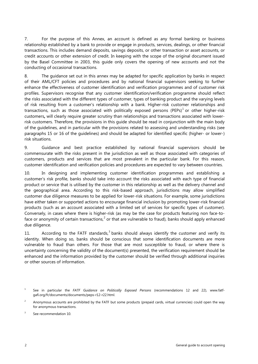7. For the purpose of this Annex, an account is defined as any formal banking or business relationship established by a bank to provide or engage in products, services, dealings, or other financial transactions. This includes demand deposits, savings deposits, or other transaction or asset accounts, or credit accounts or other extension of credit. In keeping with the scope of the original document issued by the Basel Committee in 2003, this guide only covers the opening of new accounts and not the conducting of occasional transactions.

8. The guidance set out in this annex may be adapted for specific application by banks in respect of their AML/CFT policies and procedures and by national financial supervisors seeking to further enhance the effectiveness of customer identification and verification programmes and of customer risk profiles. Supervisors recognise that any customer identification/verification programme should reflect the risks associated with the different types of customer, types of banking product and the varying levels of risk resulting from a customer's relationship with a bank. Higher-risk customer relationships and transactions, such as those associated with politically exposed persons (PEPs)<sup>[1](#page-4-0)</sup> or other higher-risk customers**,** will clearly require greater scrutiny than relationships and transactions associated with lowerrisk customers. Therefore, the provisions in this guide should be read in conjunction with the main body of the guidelines, and in particular with the provisions related to assessing and understanding risks (see paragraphs 15 or 16 of the guidelines) and should be adapted for identified specific (higher- or lower-) risk situations.

9. Guidance and best practice established by national financial supervisors should be commensurate with the risks present in the jurisdiction as well as those associated with categories of customers, products and services that are most prevalent in the particular bank. For this reason, customer identification and verification policies and procedures are expected to vary between countries.

10. In designing and implementing customer identification programmes and establishing a customer's risk profile, banks should take into account the risks associated with each type of financial product or service that is utilised by the customer in this relationship as well as the delivery channel and the geographical area. According to this risk-based approach, jurisdictions may allow simplified customer due diligence measures to be applied for lower-risk situations. For example, some jurisdictions have either taken or supported actions to encourage financial inclusion by promoting lower-risk financial products (such as an account associated with a limited set of services for specific types of customer). Conversely, in cases where there is higher-risk (as may be the case for products featuring non face-toface or anonymity of certain transactions, $<sup>2</sup>$  $<sup>2</sup>$  $<sup>2</sup>$  or that are vulnerable to fraud), banks should apply enhanced</sup> due diligence.

11. According to the FATF standards, $3$  banks should always identify the customer and verify its identity. When doing so, banks should be conscious that some identification documents are more vulnerable to fraud than others. For those that are most susceptible to fraud, or where there is uncertainty concerning the validity of the document(s) presented, the verification requirement should be enhanced and the information provided by the customer should be verified through additional inquiries or other sources of information.

<span id="page-4-0"></span><sup>1</sup> See in particular the *FATF Guidance on Politically Exposed Persons* (recommendations 12 and 22), [www.fatf](http://www.fatf-/)gafi.org/fr/documents/documents/peps-r12-r22.html.

<span id="page-4-1"></span><sup>&</sup>lt;sup>2</sup> Anonymous accounts are prohibited by the FATF but some products (prepaid cards, virtual currencies) could open the way for anonymous transactions.

<span id="page-4-2"></span><sup>&</sup>lt;sup>3</sup> See recommendation 10.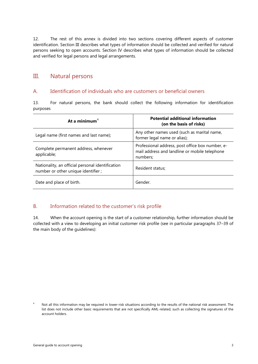12. The rest of this annex is divided into two sections covering different aspects of customer identification. Section III describes what types of information should be collected and verified for natural persons seeking to open accounts. Section IV describes what types of information should be collected and verified for legal persons and legal arrangements.

# <span id="page-5-0"></span>III. Natural persons

### <span id="page-5-1"></span>A. Identification of individuals who are customers or beneficial owners

13. For natural persons, the bank should collect the following information for identification purposes

| At a minimum $4$                                                                       | <b>Potential additional information</b><br>(on the basis of risks)                                            |
|----------------------------------------------------------------------------------------|---------------------------------------------------------------------------------------------------------------|
| Legal name (first names and last name);                                                | Any other names used (such as marital name,<br>former legal name or alias);                                   |
| Complete permanent address, whenever<br>applicable;                                    | Professional address, post office box number, e-<br>mail address and landline or mobile telephone<br>numbers; |
| Nationality, an official personal identification<br>number or other unique identifier; | Resident status;                                                                                              |
| Date and place of birth.                                                               | Gender.                                                                                                       |

## <span id="page-5-2"></span>B. Information related to the customer's risk profile

14. When the account opening is the start of a customer relationship, further information should be collected with a view to developing an initial customer risk profile (see in particular paragraphs 37–39 of the main body of the guidelines):

<span id="page-5-3"></span><sup>&</sup>lt;sup>4</sup> Not all this information may be required in lower-risk situations according to the results of the national risk assessment. The list does not include other basic requirements that are not specifically AML-related, such as collecting the signatures of the account holders.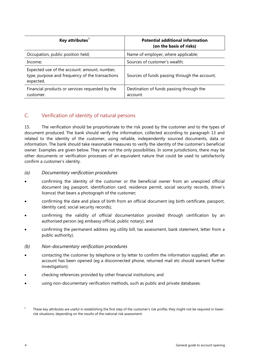| Key attributes $5$                                                                                           | <b>Potential additional information</b><br>(on the basis of risks) |
|--------------------------------------------------------------------------------------------------------------|--------------------------------------------------------------------|
| Occupation, public position held;                                                                            | Name of employer, where applicable;                                |
| Income;                                                                                                      | Sources of customer's wealth;                                      |
| Expected use of the account: amount, number,<br>type, purpose and frequency of the transactions<br>expected. | Sources of funds passing through the account;                      |
| Financial products or services requested by the<br>customer.                                                 | Destination of funds passing through the<br>account.               |

# <span id="page-6-0"></span>C. Verification of identity of natural persons

15. The verification should be proportionate to the risk posed by the customer and to the types of document produced. The bank should verify the information, collected according to paragraph 13 and related to the identity of the customer, using reliable, independently sourced documents, data or information. The bank should take reasonable measures to verify the identity of the customer's beneficial owner. Examples are given below. They are not the only possibilities. In some jurisdictions, there may be other documents or verification processes of an equivalent nature that could be used to satisfactorily confirm a customer's identity.

#### *(a) Documentary verification procedures*

- confirming the identity of the customer or the beneficial owner from an unexpired official document (eg passport, identification card, residence permit, social security records, driver's licence) that bears a photograph of the customer;
- confirming the date and place of birth from an official document (eg birth certificate, passport, identity card, social security records);
- confirming the validity of official documentation provided through certification by an authorised person (eg embassy official, public notary); and
- confirming the permanent address (eg utility bill, tax assessment, bank statement, letter from a public authority).

#### *(b) Non-documentary verification procedures*

- contacting the customer by telephone or by letter to confirm the information supplied, after an account has been opened (eg a disconnected phone, returned mail etc should warrant further investigation);
- checking references provided by other financial institutions; and
- using non-documentary verification methods, such as public and private databases.

<span id="page-6-1"></span>These key attributes are useful in establishing the first step of the customer's risk profile; they might not be required in lowerrisk situations, depending on the results of the national risk assessment.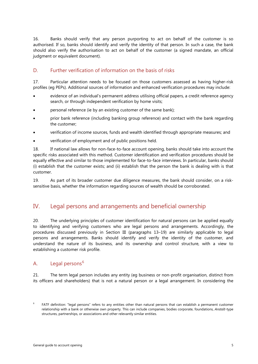16. Banks should verify that any person purporting to act on behalf of the customer is so authorised. If so, banks should identify and verify the identity of that person. In such a case, the bank should also verify the authorisation to act on behalf of the customer (a signed mandate, an official judgment or equivalent document).

## <span id="page-7-0"></span>D. Further verification of information on the basis of risks

17. Particular attention needs to be focused on those customers assessed as having higher-risk profiles (eg PEPs). Additional sources of information and enhanced verification procedures may include:

- evidence of an individual's permanent address utilising official papers, a credit reference agency search, or through independent verification by home visits;
- personal reference (ie by an existing customer of the same bank);
- prior bank reference (including banking group reference) and contact with the bank regarding the customer;
- verification of income sources, funds and wealth identified through appropriate measures; and
- verification of employment and of public positions held.

18. If national law allows for non-face-to-face account opening, banks should take into account the specific risks associated with this method. Customer identification and verification procedures should be equally effective and similar to those implemented for face-to-face interviews. In particular, banks should (i) establish that the customer exists; and (ii) establish that the person the bank is dealing with is that customer.

19. As part of its broader customer due diligence measures, the bank should consider, on a risksensitive basis, whether the information regarding sources of wealth should be corroborated.

# <span id="page-7-1"></span>IV. Legal persons and arrangements and beneficial ownership

20. The underlying principles of customer identification for natural persons can be applied equally to identifying and verifying customers who are legal persons and arrangements. Accordingly, the procedures discussed previously in Section III (paragraphs 13–19) are similarly applicable to legal persons and arrangements. Banks should identify and verify the identity of the customer, and understand the nature of its business, and its ownership and control structure, with a view to establishing a customer risk profile.

## <span id="page-7-2"></span>A. Legal persons<sup>[6](#page-7-3)</sup>

21. The term legal person includes any entity (eg business or non-profit organisation, distinct from its officers and shareholders) that is not a natural person or a legal arrangement. In considering the

<span id="page-7-3"></span><sup>6</sup> FATF definition: "legal persons" refers to any entities other than natural persons that can establish a permanent customer relationship with a bank or otherwise own property. This can include companies, bodies corporate, foundations, *Anstalt*-type structures, partnerships, or associations and other relevantly similar entities.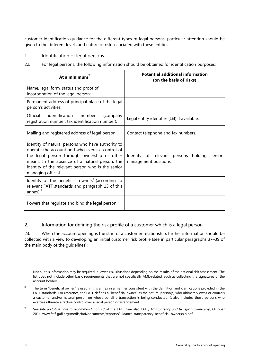customer identification guidance for the different types of legal persons, particular attention should be given to the different levels and nature of risk associated with these entities.

- <span id="page-8-0"></span>1. Identification of legal persons
- 22. For legal persons, the following information should be obtained for identification purposes:

| At a minimum $7$                                                                                                                                                                                                                                                                 | <b>Potential additional information</b><br>(on the basis of risks)      |
|----------------------------------------------------------------------------------------------------------------------------------------------------------------------------------------------------------------------------------------------------------------------------------|-------------------------------------------------------------------------|
| Name, legal form, status and proof of<br>incorporation of the legal person;                                                                                                                                                                                                      |                                                                         |
| Permanent address of principal place of the legal<br>person's activities;                                                                                                                                                                                                        |                                                                         |
| identification<br>Official<br>number<br>(company<br>registration number, tax identification number);                                                                                                                                                                             | Legal entity identifier (LEI) if available;                             |
| Mailing and registered address of legal person;                                                                                                                                                                                                                                  | Contact telephone and fax numbers.                                      |
| Identity of natural persons who have authority to<br>operate the account and who exercise control of<br>the legal person through ownership or other<br>means. In the absence of a natural person, the<br>identity of the relevant person who is the senior<br>managing official. | Identity of relevant persons holding<br>senior<br>management positions. |
| Identity of the beneficial owners <sup>8</sup> (according to<br>relevant FATF standards and paragraph 13 of this<br>annex); $9$                                                                                                                                                  |                                                                         |
| Powers that regulate and bind the legal person.                                                                                                                                                                                                                                  |                                                                         |

<span id="page-8-1"></span>2. Information for defining the risk profile of a customer which is a legal person

23. When the account opening is the start of a customer relationship, further information should be collected with a view to developing an initial customer risk profile (see in particular paragraphs 37–39 of the main body of the guidelines):

- <span id="page-8-3"></span><sup>8</sup> The term "beneficial owner" is used in this annex in a manner consistent with the definition and clarifications provided in the FATF standards. For reference, the FATF defines a "beneficial owner" as the natural person(s) who ultimately owns or controls a customer and/or natural person on whose behalf a transaction is being conducted. It also includes those persons who exercise ultimate effective control over a legal person or arrangement.
- <span id="page-8-4"></span><sup>9</sup> See *Interpretative note to recommendation 10* of the FATF. See also FATF, *Transparency and beneficial ownership*, October 2014, www.fatf-gafi.org/media/fatf/documents/reports/Guidance-transparency-beneficial-ownership.pdf.

<span id="page-8-2"></span> $<sup>7</sup>$  Not all this information may be required in lower-risk situations depending on the results of the national risk assessment. The</sup> list does not include other basic requirements that are not specifically AML-related, such as collecting the signatures of the account holders.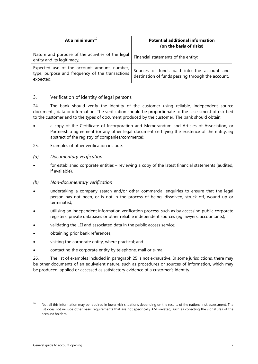| At a minimum $^{10}$                                                                                         | <b>Potential additional information</b><br>(on the basis of risks)                              |
|--------------------------------------------------------------------------------------------------------------|-------------------------------------------------------------------------------------------------|
| Nature and purpose of the activities of the legal<br>entity and its legitimacy;                              | Financial statements of the entity;                                                             |
| Expected use of the account: amount, number,<br>type, purpose and frequency of the transactions<br>expected. | Sources of funds paid into the account and<br>destination of funds passing through the account. |

#### <span id="page-9-0"></span>3. Verification of identity of legal persons

24. The bank should verify the identity of the customer using reliable, independent source documents, data or information. The verification should be proportionate to the assessment of risk tied to the customer and to the types of document produced by the customer. The bank should obtain:

- a copy of the Certificate of Incorporation and Memorandum and Articles of Association, or Partnership agreement (or any other legal document certifying the existence of the entity, eg abstract of the registry of companies/commerce);
- 25. Examples of other verification include:
- *(a) Documentary verification*
- for established corporate entities reviewing a copy of the latest financial statements (audited, if available).
- *(b) Non-documentary verification*
- undertaking a company search and/or other commercial enquiries to ensure that the legal person has not been, or is not in the process of being, dissolved, struck off, wound up or terminated;
- utilising an independent information verification process, such as by accessing public corporate registers, private databases or other reliable independent sources (eg lawyers, accountants);
- validating the LEI and associated data in the public access service;
- obtaining prior bank references;
- visiting the corporate entity, where practical; and
- contacting the corporate entity by telephone, mail or e-mail.

26. The list of examples included in paragraph 25 is not exhaustive. In some jurisdictions, there may be other documents of an equivalent nature, such as procedures or sources of information, which may be produced, applied or accessed as satisfactory evidence of a customer's identity.

<span id="page-9-1"></span><sup>&</sup>lt;sup>10</sup> Not all this information may be required in lower-risk situations depending on the results of the national risk assessment. The list does not include other basic requirements that are not specifically AML-related, such as collecting the signatures of the account holders.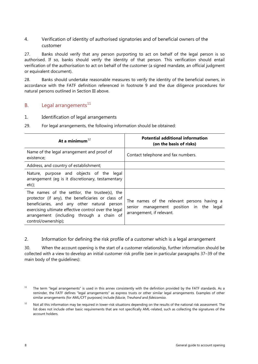<span id="page-10-0"></span>4. Verification of identity of authorised signatories and of beneficial owners of the customer

27. Banks should verify that any person purporting to act on behalf of the legal person is so authorised. If so, banks should verify the identity of that person. This verification should entail verification of the authorisation to act on behalf of the customer (a signed mandate, an official judgment or equivalent document).

28. Banks should undertake reasonable measures to verify the identity of the beneficial owners, in accordance with the FATF definition referenced in footnote 9 and the due diligence procedures for natural persons outlined in Section III above.

## <span id="page-10-1"></span>B. Legal arrangements $^{11}$  $^{11}$  $^{11}$

<span id="page-10-2"></span>1. Identification of legal arrangements

| At a minimum $^{12}$                                                                                                                                                                                                                                                          | <b>Potential additional information</b><br>(on the basis of risks)                                                    |
|-------------------------------------------------------------------------------------------------------------------------------------------------------------------------------------------------------------------------------------------------------------------------------|-----------------------------------------------------------------------------------------------------------------------|
| Name of the legal arrangement and proof of<br>existence;                                                                                                                                                                                                                      | Contact telephone and fax numbers.                                                                                    |
| Address, and country of establishment;                                                                                                                                                                                                                                        |                                                                                                                       |
| Nature, purpose and objects of the legal<br>arrangement (eg is it discretionary, testamentary<br>etc);                                                                                                                                                                        |                                                                                                                       |
| The names of the settlor, the trustee(s), the<br>protector (if any), the beneficiaries or class of<br>beneficiaries, and any other natural person<br>exercising ultimate effective control over the legal<br>arrangement (including through a chain of<br>control/ownership); | The names of the relevant persons having a<br>senior management position in the<br>legal<br>arrangement, if relevant. |

29. For legal arrangements, the following information should be obtained:

<span id="page-10-3"></span>2. Information for defining the risk profile of a customer which is a legal arrangement

30. When the account opening is the start of a customer relationship, further information should be collected with a view to develop an initial customer risk profile (see in particular paragraphs 37–39 of the main body of the guidelines):

<span id="page-10-4"></span> $11$  The term "legal arrangements" is used in this annex consistently with the definition provided by the FATF standards. As a reminder, the FATF defines "legal arrangements" as express trusts or other similar legal arrangements. Examples of other similar arrangements (for AML/CFT purposes) include *fiducie*, *Treuhand* and *fideicomiso*.

<span id="page-10-5"></span> $12$  Not all this information may be required in lower-risk situations depending on the results of the national risk assessment. The list does not include other basic requirements that are not specifically AML-related, such as collecting the signatures of the account holders.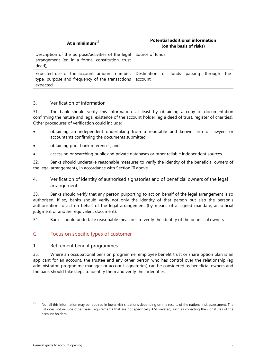| At a minimum $^{13}$                                                                                                               | <b>Potential additional information</b><br>(on the basis of risks) |  |  |
|------------------------------------------------------------------------------------------------------------------------------------|--------------------------------------------------------------------|--|--|
| Description of the purpose/activities of the legal   Source of funds;<br>arrangement (eg in a formal constitution, trust<br>deed); |                                                                    |  |  |
| Expected use of the account: amount, number,<br>type, purpose and frequency of the transactions<br>expected.                       | Destination of funds passing through the<br>account.               |  |  |

### <span id="page-11-0"></span>3. Verification of information

31. The bank should verify this information, at least by obtaining a copy of documentation confirming the nature and legal existence of the account holder (eg a deed of trust, register of charities). Other procedures of verification could include:

- obtaining an independent undertaking from a reputable and known firm of lawyers or accountants confirming the documents submitted;
- obtaining prior bank references; and
- accessing or searching public and private databases or other reliable independent sources.

32. Banks should undertake reasonable measures to verify the identity of the beneficial owners of the legal arrangements, in accordance with Section III above.

### <span id="page-11-1"></span>4. Verification of identity of authorised signatories and of beneficial owners of the legal arrangement

33. Banks should verify that any person purporting to act on behalf of the legal arrangement is so authorised. If so, banks should verify not only the identity of that person but also the person's authorisation to act on behalf of the legal arrangement (by means of a signed mandate, an official judgment or another equivalent document).

34. Banks should undertake reasonable measures to verify the identity of the beneficial owners.

## <span id="page-11-2"></span>C. Focus on specific types of customer

#### <span id="page-11-3"></span>1. Retirement benefit programmes

35. Where an occupational pension programme, employee benefit trust or share option plan is an applicant for an account, the trustee and any other person who has control over the relationship (eg administrator, programme manager or account signatories) can be considered as beneficial owners and the bank should take steps to identify them and verify their identities.

<span id="page-11-4"></span><sup>&</sup>lt;sup>13</sup> Not all this information may be required in lower-risk situations depending on the results of the national risk assessment. The list does not include other basic requirements that are not specifically AML-related, such as collecting the signatures of the account holders.